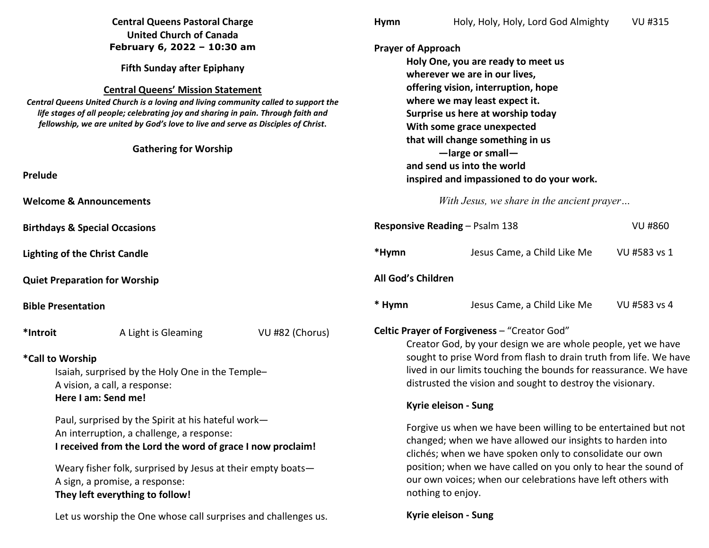|                                                                                                                                                                                                                                                                                                                                                                                                                | <b>Central Queens Pastoral Charge</b>                                                                                                           |                                                                                                                                                                                                                                                                                                                                               | Hymn                                                                                                                                                                                                                                                                                                                | Holy, Holy, Holy, Lord God Almighty | <b>VU #315</b> |
|----------------------------------------------------------------------------------------------------------------------------------------------------------------------------------------------------------------------------------------------------------------------------------------------------------------------------------------------------------------------------------------------------------------|-------------------------------------------------------------------------------------------------------------------------------------------------|-----------------------------------------------------------------------------------------------------------------------------------------------------------------------------------------------------------------------------------------------------------------------------------------------------------------------------------------------|---------------------------------------------------------------------------------------------------------------------------------------------------------------------------------------------------------------------------------------------------------------------------------------------------------------------|-------------------------------------|----------------|
|                                                                                                                                                                                                                                                                                                                                                                                                                | <b>United Church of Canada</b>                                                                                                                  |                                                                                                                                                                                                                                                                                                                                               |                                                                                                                                                                                                                                                                                                                     |                                     |                |
| February 6, 2022 - 10:30 am<br><b>Fifth Sunday after Epiphany</b><br><b>Central Queens' Mission Statement</b><br>Central Queens United Church is a loving and living community called to support the<br>life stages of all people; celebrating joy and sharing in pain. Through faith and<br>fellowship, we are united by God's love to live and serve as Disciples of Christ.<br><b>Gathering for Worship</b> |                                                                                                                                                 |                                                                                                                                                                                                                                                                                                                                               | <b>Prayer of Approach</b><br>Holy One, you are ready to meet us<br>wherever we are in our lives,<br>offering vision, interruption, hope<br>where we may least expect it.<br>Surprise us here at worship today<br>With some grace unexpected<br>that will change something in us<br>$-\ell$ large or small-          |                                     |                |
|                                                                                                                                                                                                                                                                                                                                                                                                                |                                                                                                                                                 |                                                                                                                                                                                                                                                                                                                                               |                                                                                                                                                                                                                                                                                                                     |                                     |                |
| <b>Welcome &amp; Announcements</b>                                                                                                                                                                                                                                                                                                                                                                             |                                                                                                                                                 |                                                                                                                                                                                                                                                                                                                                               | With Jesus, we share in the ancient prayer                                                                                                                                                                                                                                                                          |                                     |                |
| <b>Birthdays &amp; Special Occasions</b>                                                                                                                                                                                                                                                                                                                                                                       |                                                                                                                                                 |                                                                                                                                                                                                                                                                                                                                               |                                                                                                                                                                                                                                                                                                                     | Responsive Reading - Psalm 138      | <b>VU #860</b> |
| <b>Lighting of the Christ Candle</b>                                                                                                                                                                                                                                                                                                                                                                           |                                                                                                                                                 |                                                                                                                                                                                                                                                                                                                                               | *Hymn                                                                                                                                                                                                                                                                                                               | Jesus Came, a Child Like Me         | VU #583 vs 1   |
| <b>Quiet Preparation for Worship</b>                                                                                                                                                                                                                                                                                                                                                                           |                                                                                                                                                 |                                                                                                                                                                                                                                                                                                                                               | All God's Children                                                                                                                                                                                                                                                                                                  |                                     |                |
| <b>Bible Presentation</b>                                                                                                                                                                                                                                                                                                                                                                                      |                                                                                                                                                 |                                                                                                                                                                                                                                                                                                                                               | * Hymn                                                                                                                                                                                                                                                                                                              | Jesus Came, a Child Like Me         | VU #583 vs 4   |
| *Introit                                                                                                                                                                                                                                                                                                                                                                                                       | VU #82 (Chorus)<br>A Light is Gleaming<br>*Call to Worship<br>Isaiah, surprised by the Holy One in the Temple-<br>A vision, a call, a response: |                                                                                                                                                                                                                                                                                                                                               | Celtic Prayer of Forgiveness - "Creator God"<br>Creator God, by your design we are whole people, yet we have<br>sought to prise Word from flash to drain truth from life. We have<br>lived in our limits touching the bounds for reassurance. We have<br>distrusted the vision and sought to destroy the visionary. |                                     |                |
| Here I am: Send me!<br>Paul, surprised by the Spirit at his hateful work-<br>An interruption, a challenge, a response:<br>I received from the Lord the word of grace I now proclaim!<br>Weary fisher folk, surprised by Jesus at their empty boats-<br>A sign, a promise, a response:<br>They left everything to follow!<br>Let us worship the One whose call surprises and challenges us.                     |                                                                                                                                                 | Kyrie eleison - Sung                                                                                                                                                                                                                                                                                                                          |                                                                                                                                                                                                                                                                                                                     |                                     |                |
|                                                                                                                                                                                                                                                                                                                                                                                                                |                                                                                                                                                 | Forgive us when we have been willing to be entertained but not<br>changed; when we have allowed our insights to harden into<br>clichés; when we have spoken only to consolidate our own<br>position; when we have called on you only to hear the sound of<br>our own voices; when our celebrations have left others with<br>nothing to enjoy. |                                                                                                                                                                                                                                                                                                                     |                                     |                |
|                                                                                                                                                                                                                                                                                                                                                                                                                |                                                                                                                                                 | Kyrie eleison - Sung                                                                                                                                                                                                                                                                                                                          |                                                                                                                                                                                                                                                                                                                     |                                     |                |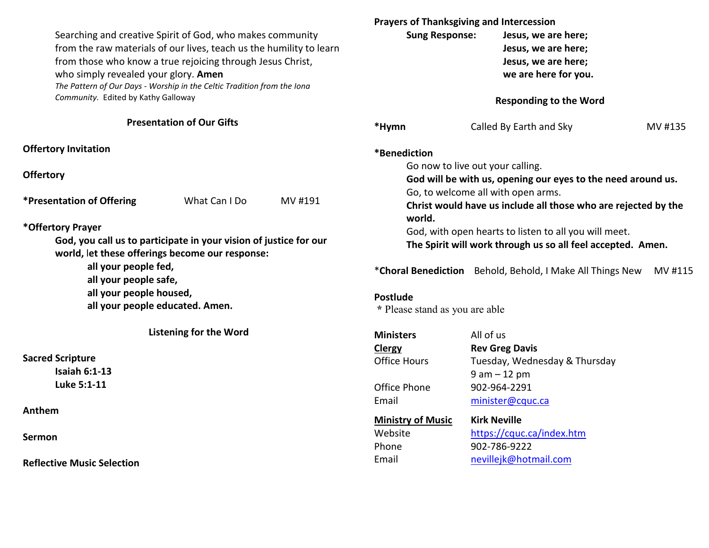Searching and creative Spirit of God, who makes community from the raw materials of our lives, teach us the humility to learn from those who know a true rejoicing through Jesus Christ, who simply revealed your glory. **Amen**  *The Pattern of Our Days - Worship in the Celtic Tradition from the Iona Community.* Edited by Kathy Galloway

**Presentation of Our Gifts**

**Offertory Invitation** 

**Offertory**

**\*Presentation of Offering** What Can I Do MV #191

**\*Offertory Prayer** 

**God, you call us to participate in your vision of justice for our world,** l**et these offerings become our response:** 

 **all your people fed,**

 **all your people safe,**

 **all your people housed,**

 **all your people educated. Amen.**

**Listening for the Word** 

**Sacred Scripture** 

 **Isaiah 6:1-13 Luke 5:1-11** 

**Anthem** 

**Sermon** 

**Reflective Music Selection** 

|                                | <b>Sung Response:</b>            | <b>Prayers of Thanksgiving and Intercession</b><br>Jesus, we are here;<br>Jesus, we are here;<br>Jesus, we are here;<br>we are here for you. |         |  |  |
|--------------------------------|----------------------------------|----------------------------------------------------------------------------------------------------------------------------------------------|---------|--|--|
|                                |                                  | <b>Responding to the Word</b>                                                                                                                |         |  |  |
| *Hymn                          |                                  | Called By Earth and Sky                                                                                                                      | MV #135 |  |  |
| *Benediction                   |                                  |                                                                                                                                              |         |  |  |
|                                | Go now to live out your calling. |                                                                                                                                              |         |  |  |
|                                |                                  | God will be with us, opening our eyes to the need around us.                                                                                 |         |  |  |
|                                |                                  | Go, to welcome all with open arms.                                                                                                           |         |  |  |
|                                |                                  | Christ would have us include all those who are rejected by the                                                                               |         |  |  |
| world.                         |                                  |                                                                                                                                              |         |  |  |
|                                |                                  | God, with open hearts to listen to all you will meet.                                                                                        |         |  |  |
|                                |                                  | The Spirit will work through us so all feel accepted. Amen.                                                                                  |         |  |  |
|                                |                                  | *Choral Benediction Behold, Behold, I Make All Things New                                                                                    | MV #115 |  |  |
| <b>Postlude</b>                |                                  |                                                                                                                                              |         |  |  |
| * Please stand as you are able |                                  |                                                                                                                                              |         |  |  |
| <b>Ministers</b>               | All of us                        |                                                                                                                                              |         |  |  |
| Clergy                         |                                  | <b>Rev Greg Davis</b>                                                                                                                        |         |  |  |
| <b>Office Hours</b>            |                                  | Tuesday, Wednesday & Thursday                                                                                                                |         |  |  |
|                                |                                  | $9 am - 12 pm$                                                                                                                               |         |  |  |
| Office Phone                   |                                  | 902-964-2291                                                                                                                                 |         |  |  |
| Email                          |                                  | minister@cquc.ca                                                                                                                             |         |  |  |
|                                |                                  | $U:$ ala Marailla                                                                                                                            |         |  |  |

**Ministry of Music**Phone 902-786-9222

 **Kirk Neville**Website https://cquc.ca/index.htm Email nevillejk@hotmail.com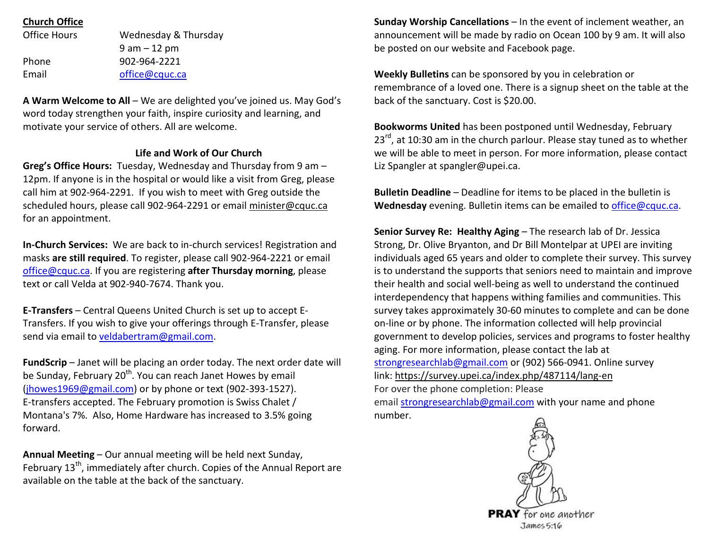## **Church Office**

| Wednesday & Thursday |  |  |
|----------------------|--|--|
| $9$ am $-12$ pm      |  |  |
| 902-964-2221         |  |  |
| office@cquc.ca       |  |  |
|                      |  |  |

**A Warm Welcome to All** – We are delighted you've joined us. May God's word today strengthen your faith, inspire curiosity and learning, and motivate your service of others. All are welcome.

## **Life and Work of Our Church**

**Greg's Office Hours:** Tuesday, Wednesday and Thursday from 9 am – 12pm. If anyone is in the hospital or would like a visit from Greg, please call him at 902-964-2291. If you wish to meet with Greg outside the scheduled hours, please call 902-964-2291 or email minister@cquc.ca for an appointment.

**In-Church Services:** We are back to in-church services! Registration and masks **are still required**. To register, please call 902-964-2221 or email office@cquc.ca. If you are registering **after Thursday morning**, please text or call Velda at 902-940-7674. Thank you.

**E-Transfers** – Central Queens United Church is set up to accept E-Transfers. If you wish to give your offerings through E-Transfer, please send via email to veldabertram@gmail.com.

**FundScrip** – Janet will be placing an order today. The next order date will be Sunday, February 20<sup>th</sup>. You can reach Janet Howes by email (jhowes1969@gmail.com) or by phone or text (902-393-1527). E-transfers accepted. The February promotion is Swiss Chalet / Montana's 7%. Also, Home Hardware has increased to 3.5% going forward.

**Annual Meeting** – Our annual meeting will be held next Sunday, February 13<sup>th</sup>, immediately after church. Copies of the Annual Report are available on the table at the back of the sanctuary.

**Sunday Worship Cancellations** – In the event of inclement weather, an announcement will be made by radio on Ocean 100 by 9 am. It will also be posted on our website and Facebook page.

**Weekly Bulletins** can be sponsored by you in celebration or remembrance of a loved one. There is a signup sheet on the table at the back of the sanctuary. Cost is \$20.00.

**Bookworms United** has been postponed until Wednesday, February 23<sup>rd</sup>, at 10:30 am in the church parlour. Please stay tuned as to whether we will be able to meet in person. For more information, please contact Liz Spangler at spangler@upei.ca.

**Bulletin Deadline** – Deadline for items to be placed in the bulletin is **Wednesday** evening. Bulletin items can be emailed to office@cquc.ca.

**Senior Survey Re: Healthy Aging** – The research lab of Dr. Jessica Strong, Dr. Olive Bryanton, and Dr Bill Montelpar at UPEI are inviting individuals aged 65 years and older to complete their survey. This survey is to understand the supports that seniors need to maintain and improve their health and social well-being as well to understand the continued interdependency that happens withing families and communities. This survey takes approximately 30-60 minutes to complete and can be done on-line or by phone. The information collected will help provincial government to develop policies, services and programs to foster healthy aging. For more information, please contact the lab at strongresearchlab@gmail.com or (902) 566-0941. Online survey link: https://survey.upei.ca/index.php/487114/lang-enFor over the phone completion: Please email strongresearchlab@gmail.com with your name and phone number.